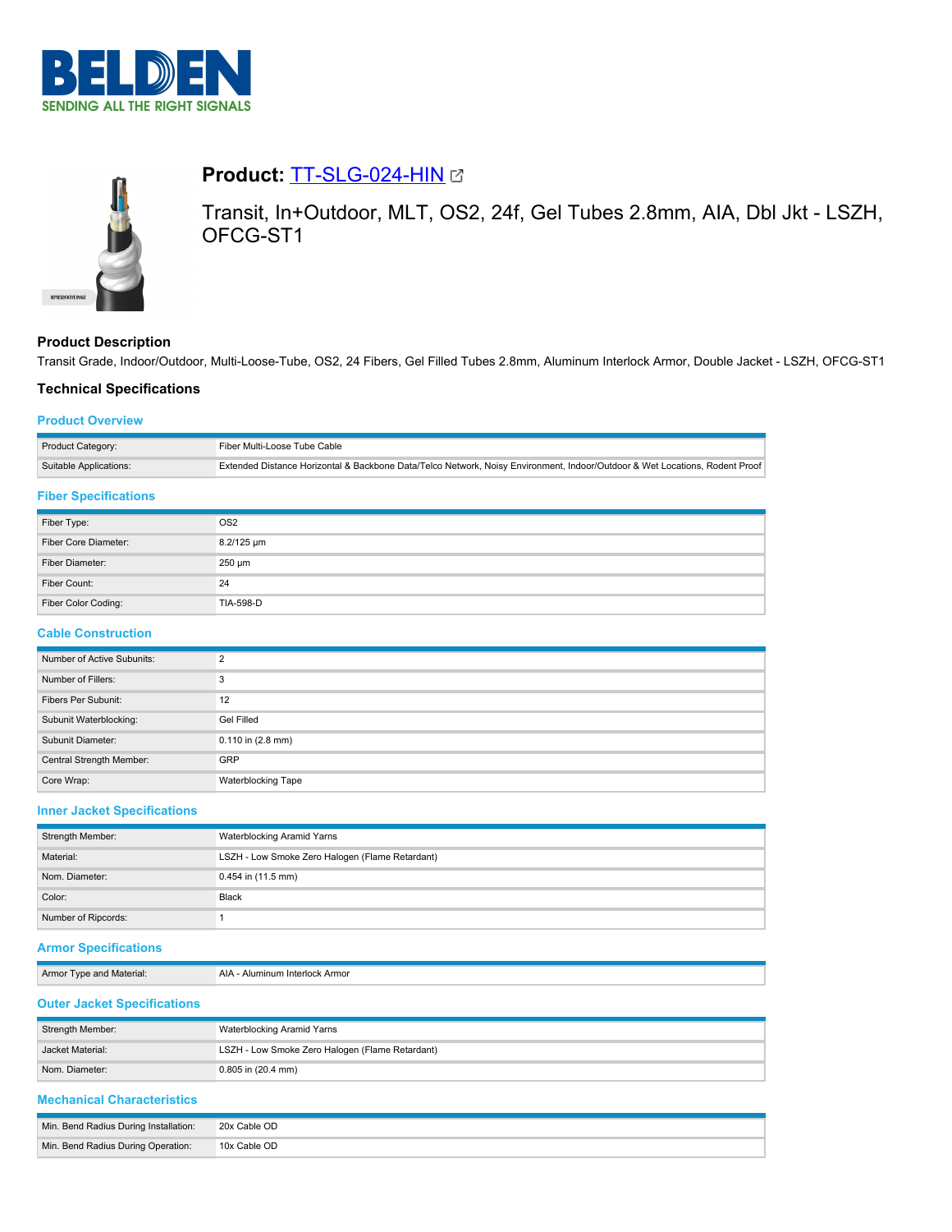



# **Product: [TT-SLG-024-HIN](https://catalog.belden.com/index.cfm?event=pd&p=PF_TTSLG024HIN&tab=downloads) @**

Transit, In+Outdoor, MLT, OS2, 24f, Gel Tubes 2.8mm, AIA, Dbl Jkt - LSZH, OFCG-ST1

# **Product Description**

Transit Grade, Indoor/Outdoor, Multi-Loose-Tube, OS2, 24 Fibers, Gel Filled Tubes 2.8mm, Aluminum Interlock Armor, Double Jacket - LSZH, OFCG-ST1

# **Technical Specifications**

## **Product Overview**

| Product Category:      | Fiber Multi-Loose Tube Cable !                                                                                              |
|------------------------|-----------------------------------------------------------------------------------------------------------------------------|
| Suitable Applications: | Extended Distance Horizontal & Backbone Data/Telco Network, Noisy Environment, Indoor/Outdoor & Wet Locations, Rodent Proof |

#### **Fiber Specifications**

| Fiber Type:          | OS <sub>2</sub> |
|----------------------|-----------------|
| Fiber Core Diameter: | 8.2/125 µm      |
| Fiber Diameter:      | $250 \mu m$     |
| Fiber Count:         | 24              |
| Fiber Color Coding:  | TIA-598-D       |

# **Cable Construction**

| Number of Active Subunits: | $\Omega$                  |
|----------------------------|---------------------------|
| Number of Fillers:         | 3                         |
| Fibers Per Subunit:        | 12                        |
| Subunit Waterblocking:     | Gel Filled                |
| Subunit Diameter:          | $0.110$ in $(2.8$ mm)     |
| Central Strength Member:   | GRP                       |
| Core Wrap:                 | <b>Waterblocking Tape</b> |

## **Inner Jacket Specifications**

| Strength Member:    | Waterblocking Aramid Yarns                      |
|---------------------|-------------------------------------------------|
| Material:           | LSZH - Low Smoke Zero Halogen (Flame Retardant) |
| Nom. Diameter:      | $0.454$ in (11.5 mm)                            |
| Color:              | Black                                           |
| Number of Ripcords: |                                                 |

# **Armor Specifications**

Armor Type and Material: AIA - Aluminum Interlock Armor

# **Outer Jacket Specifications**

| Strength Member: | Waterblocking Aramid Yarns                      |
|------------------|-------------------------------------------------|
| Jacket Material: | LSZH - Low Smoke Zero Halogen (Flame Retardant) |
| Nom. Diameter:   | $0.805$ in $(20.4$ mm)                          |

# **Mechanical Characteristics**

| Min. Bend Radius During Installation: | 20x Cable OD |
|---------------------------------------|--------------|
| Min. Bend Radius During Operation:    | 10x Cable OD |